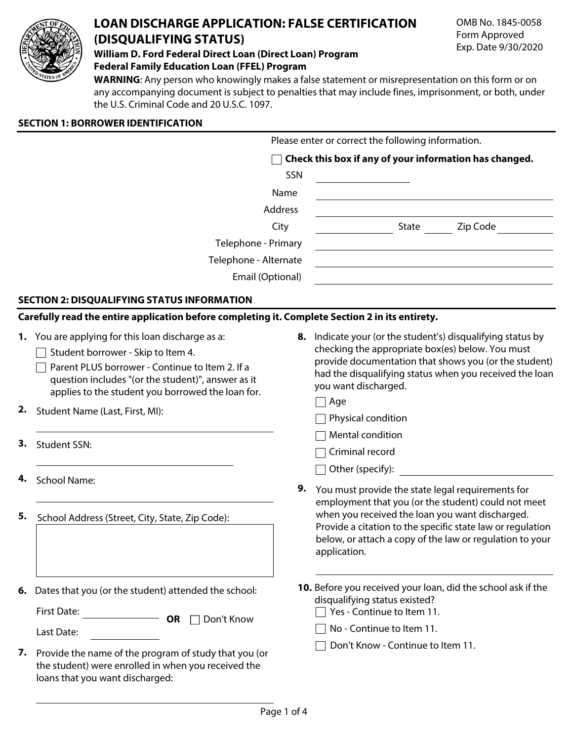

# **LOAN DISCHARGE APPLICATION: FALSE CERTIFICATION (DISQUALIFYING STATUS)**

**William D. Ford Federal Direct Loan (Direct Loan) Program Federal Family Education Loan (FFEL) Program**

**WARNING**: Any person who knowingly makes a false statement or misrepresentation on this form or on any accompanying document is subject to penalties that may include fines, imprisonment, or both, under the U.S. Criminal Code and 20 U.S.C. 1097.

| <b>SECTION 1: BORROWER IDENTIFICATION</b> |  |
|-------------------------------------------|--|
|                                           |  |

loans that you want discharged:

|                     |                                                                                                                                                                                                                                                                                          |                                                                                                                                                                                           | Please enter or correct the following information.                                                                                                                                                                                                                                       |
|---------------------|------------------------------------------------------------------------------------------------------------------------------------------------------------------------------------------------------------------------------------------------------------------------------------------|-------------------------------------------------------------------------------------------------------------------------------------------------------------------------------------------|------------------------------------------------------------------------------------------------------------------------------------------------------------------------------------------------------------------------------------------------------------------------------------------|
|                     |                                                                                                                                                                                                                                                                                          |                                                                                                                                                                                           | Check this box if any of your information has changed.                                                                                                                                                                                                                                   |
|                     |                                                                                                                                                                                                                                                                                          | SSN                                                                                                                                                                                       |                                                                                                                                                                                                                                                                                          |
|                     |                                                                                                                                                                                                                                                                                          | Name                                                                                                                                                                                      |                                                                                                                                                                                                                                                                                          |
|                     |                                                                                                                                                                                                                                                                                          | Address                                                                                                                                                                                   |                                                                                                                                                                                                                                                                                          |
|                     |                                                                                                                                                                                                                                                                                          | City                                                                                                                                                                                      | State Zip Code                                                                                                                                                                                                                                                                           |
| Telephone - Primary |                                                                                                                                                                                                                                                                                          |                                                                                                                                                                                           |                                                                                                                                                                                                                                                                                          |
|                     | Telephone - Alternate                                                                                                                                                                                                                                                                    |                                                                                                                                                                                           |                                                                                                                                                                                                                                                                                          |
|                     | Email (Optional)                                                                                                                                                                                                                                                                         |                                                                                                                                                                                           |                                                                                                                                                                                                                                                                                          |
|                     | <b>SECTION 2: DISQUALIFYING STATUS INFORMATION</b>                                                                                                                                                                                                                                       |                                                                                                                                                                                           |                                                                                                                                                                                                                                                                                          |
|                     | Carefully read the entire application before completing it. Complete Section 2 in its entirety.                                                                                                                                                                                          |                                                                                                                                                                                           |                                                                                                                                                                                                                                                                                          |
| 2.                  | 1. You are applying for this loan discharge as a:<br>Student borrower - Skip to Item 4.<br>Parent PLUS borrower - Continue to Item 2. If a<br>question includes "(or the student)", answer as it<br>applies to the student you borrowed the loan for.<br>Student Name (Last, First, MI): |                                                                                                                                                                                           | 8. Indicate your (or the student's) disqualifying status by<br>checking the appropriate box(es) below. You must<br>provide documentation that shows you (or the student)<br>had the disqualifying status when you received the loan<br>you want discharged.<br>Age<br>Physical condition |
| 3.                  | <b>Student SSN:</b>                                                                                                                                                                                                                                                                      |                                                                                                                                                                                           | Mental condition<br>Criminal record                                                                                                                                                                                                                                                      |
| 4.                  | <b>School Name:</b>                                                                                                                                                                                                                                                                      | 9.                                                                                                                                                                                        | Other (specify):<br>You must provide the state legal requirements for<br>employment that you (or the student) could not meet                                                                                                                                                             |
| 5.                  | School Address (Street, City, State, Zip Code):                                                                                                                                                                                                                                          | when you received the loan you want discharged.<br>Provide a citation to the specific state law or regulation<br>below, or attach a copy of the law or regulation to your<br>application. |                                                                                                                                                                                                                                                                                          |
| 6.                  | Dates that you (or the student) attended the school:<br><b>First Date:</b><br><b>OR</b> Don't Know                                                                                                                                                                                       |                                                                                                                                                                                           | 10. Before you received your loan, did the school ask if the<br>disqualifying status existed?<br>Yes - Continue to Item 11.                                                                                                                                                              |
|                     | Last Date:                                                                                                                                                                                                                                                                               |                                                                                                                                                                                           | No - Continue to Item 11.                                                                                                                                                                                                                                                                |
| 7.                  | Provide the name of the program of study that you (or<br>the student) were enrolled in when you received the                                                                                                                                                                             |                                                                                                                                                                                           | Don't Know - Continue to Item 11.                                                                                                                                                                                                                                                        |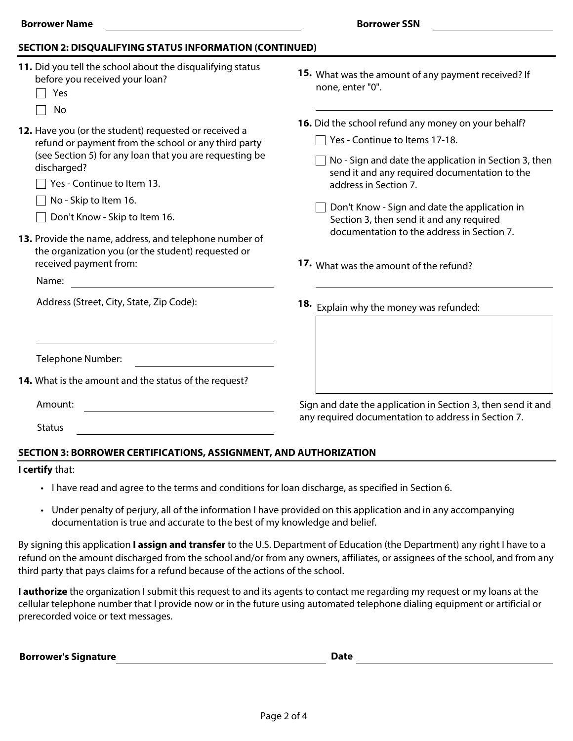#### **SECTION 2: DISQUALIFYING STATUS INFORMATION (CONTINUED)**

| 11. Did you tell the school about the disqualifying status<br>before you received your loan?<br>Yes                                                                                                                   | 15. What was the amount of any payment received? If<br>none, enter "0".                                                                                                                                                  |
|-----------------------------------------------------------------------------------------------------------------------------------------------------------------------------------------------------------------------|--------------------------------------------------------------------------------------------------------------------------------------------------------------------------------------------------------------------------|
| No                                                                                                                                                                                                                    |                                                                                                                                                                                                                          |
| 12. Have you (or the student) requested or received a<br>refund or payment from the school or any third party<br>(see Section 5) for any loan that you are requesting be<br>discharged?<br>Yes - Continue to Item 13. | 16. Did the school refund any money on your behalf?<br>Yes - Continue to Items 17-18.<br>No - Sign and date the application in Section 3, then<br>send it and any required documentation to the<br>address in Section 7. |
| No - Skip to Item 16.<br>Don't Know - Skip to Item 16.<br>13. Provide the name, address, and telephone number of                                                                                                      | Don't Know - Sign and date the application in<br>Section 3, then send it and any required<br>documentation to the address in Section 7.                                                                                  |
| the organization you (or the student) requested or<br>received payment from:<br>Name:                                                                                                                                 | 17. What was the amount of the refund?                                                                                                                                                                                   |
| Address (Street, City, State, Zip Code):                                                                                                                                                                              | 18. Explain why the money was refunded:                                                                                                                                                                                  |
| Telephone Number:                                                                                                                                                                                                     |                                                                                                                                                                                                                          |
| 14. What is the amount and the status of the request?                                                                                                                                                                 |                                                                                                                                                                                                                          |
| Amount:<br><b>Status</b>                                                                                                                                                                                              | Sign and date the application in Section 3, then send it and<br>any required documentation to address in Section 7.                                                                                                      |

## **SECTION 3: BORROWER CERTIFICATIONS, ASSIGNMENT, AND AUTHORIZATION**

#### **I certify** that:

- I have read and agree to the terms and conditions for loan discharge, as specified in Section 6.
- Under penalty of perjury, all of the information I have provided on this application and in any accompanying documentation is true and accurate to the best of my knowledge and belief.

By signing this application **I assign and transfer** to the U.S. Department of Education (the Department) any right I have to a refund on the amount discharged from the school and/or from any owners, affiliates, or assignees of the school, and from any third party that pays claims for a refund because of the actions of the school.

**I authorize** the organization I submit this request to and its agents to contact me regarding my request or my loans at the cellular telephone number that I provide now or in the future using automated telephone dialing equipment or artificial or prerecorded voice or text messages.

**Borrower's Signature Date Date Date Date Date**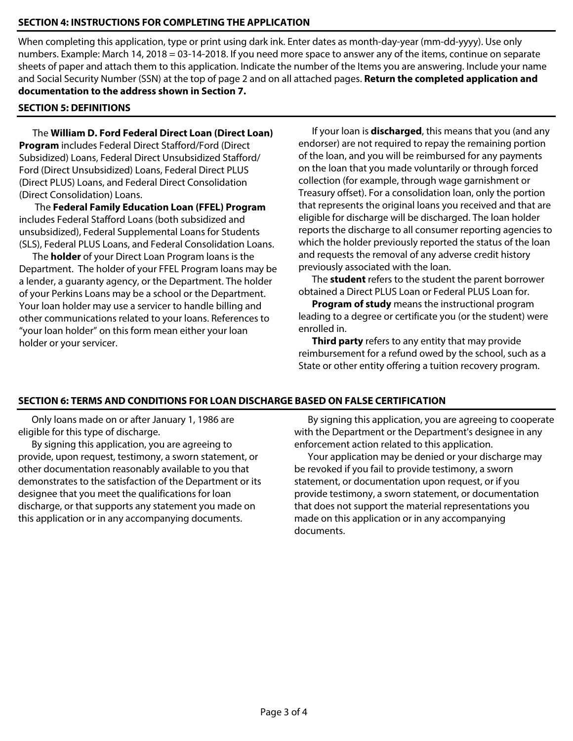### **SECTION 4: INSTRUCTIONS FOR COMPLETING THE APPLICATION**

When completing this application, type or print using dark ink. Enter dates as month-day-year (mm-dd-yyyy). Use only numbers. Example: March 14, 2018 = 03-14-2018. If you need more space to answer any of the items, continue on separate sheets of paper and attach them to this application. Indicate the number of the Items you are answering. Include your name and Social Security Number (SSN) at the top of page 2 and on all attached pages. **Return the completed application and documentation to the address shown in Section 7.**

## **SECTION 5: DEFINITIONS**

The **William D. Ford Federal Direct Loan (Direct Loan) Program** includes Federal Direct Stafford/Ford (Direct Subsidized) Loans, Federal Direct Unsubsidized Stafford/ Ford (Direct Unsubsidized) Loans, Federal Direct PLUS (Direct PLUS) Loans, and Federal Direct Consolidation (Direct Consolidation) Loans.

The **Federal Family Education Loan (FFEL) Program** includes Federal Stafford Loans (both subsidized and unsubsidized), Federal Supplemental Loans for Students (SLS), Federal PLUS Loans, and Federal Consolidation Loans.

The **holder** of your Direct Loan Program loans is the Department. The holder of your FFEL Program loans may be a lender, a guaranty agency, or the Department. The holder of your Perkins Loans may be a school or the Department. Your loan holder may use a servicer to handle billing and other communications related to your loans. References to "your loan holder" on this form mean either your loan holder or your servicer.

If your loan is **discharged**, this means that you (and any endorser) are not required to repay the remaining portion of the loan, and you will be reimbursed for any payments on the loan that you made voluntarily or through forced collection (for example, through wage garnishment or Treasury offset). For a consolidation loan, only the portion that represents the original loans you received and that are eligible for discharge will be discharged. The loan holder reports the discharge to all consumer reporting agencies to which the holder previously reported the status of the loan and requests the removal of any adverse credit history previously associated with the loan.

The **student** refers to the student the parent borrower obtained a Direct PLUS Loan or Federal PLUS Loan for.

**Program of study** means the instructional program leading to a degree or certificate you (or the student) were enrolled in.

**Third party** refers to any entity that may provide reimbursement for a refund owed by the school, such as a State or other entity offering a tuition recovery program.

#### **SECTION 6: TERMS AND CONDITIONS FOR LOAN DISCHARGE BASED ON FALSE CERTIFICATION**

Only loans made on or after January 1, 1986 are eligible for this type of discharge.

By signing this application, you are agreeing to provide, upon request, testimony, a sworn statement, or other documentation reasonably available to you that demonstrates to the satisfaction of the Department or its designee that you meet the qualifications for loan discharge, or that supports any statement you made on this application or in any accompanying documents.

By signing this application, you are agreeing to cooperate with the Department or the Department's designee in any enforcement action related to this application.

Your application may be denied or your discharge may be revoked if you fail to provide testimony, a sworn statement, or documentation upon request, or if you provide testimony, a sworn statement, or documentation that does not support the material representations you made on this application or in any accompanying documents.